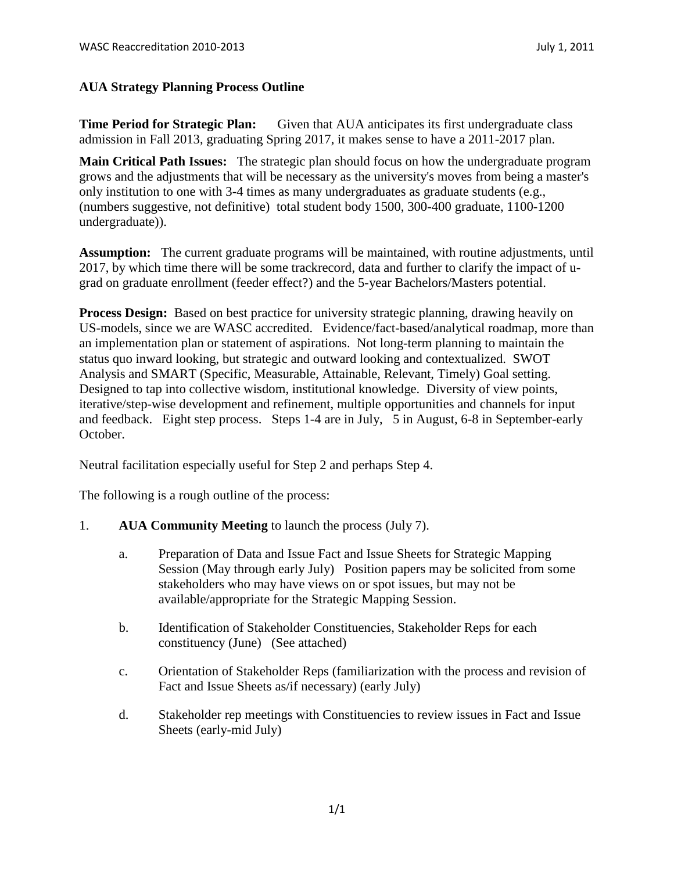## **AUA Strategy Planning Process Outline**

**Time Period for Strategic Plan:** Given that AUA anticipates its first undergraduate class admission in Fall 2013, graduating Spring 2017, it makes sense to have a 2011-2017 plan.

**Main Critical Path Issues:** The strategic plan should focus on how the undergraduate program grows and the adjustments that will be necessary as the university's moves from being a master's only institution to one with 3-4 times as many undergraduates as graduate students (e.g., (numbers suggestive, not definitive) total student body 1500, 300-400 graduate, 1100-1200 undergraduate)).

**Assumption:** The current graduate programs will be maintained, with routine adjustments, until 2017, by which time there will be some trackrecord, data and further to clarify the impact of ugrad on graduate enrollment (feeder effect?) and the 5-year Bachelors/Masters potential.

**Process Design:** Based on best practice for university strategic planning, drawing heavily on US-models, since we are WASC accredited. Evidence/fact-based/analytical roadmap, more than an implementation plan or statement of aspirations. Not long-term planning to maintain the status quo inward looking, but strategic and outward looking and contextualized. SWOT Analysis and SMART (Specific, Measurable, Attainable, Relevant, Timely) Goal setting. Designed to tap into collective wisdom, institutional knowledge. Diversity of view points, iterative/step-wise development and refinement, multiple opportunities and channels for input and feedback. Eight step process. Steps 1-4 are in July, 5 in August, 6-8 in September-early October.

Neutral facilitation especially useful for Step 2 and perhaps Step 4.

The following is a rough outline of the process:

- 1. **AUA Community Meeting** to launch the process (July 7).
	- a. Preparation of Data and Issue Fact and Issue Sheets for Strategic Mapping Session (May through early July) Position papers may be solicited from some stakeholders who may have views on or spot issues, but may not be available/appropriate for the Strategic Mapping Session.
	- b. Identification of Stakeholder Constituencies, Stakeholder Reps for each constituency (June) (See attached)
	- c. Orientation of Stakeholder Reps (familiarization with the process and revision of Fact and Issue Sheets as/if necessary) (early July)
	- d. Stakeholder rep meetings with Constituencies to review issues in Fact and Issue Sheets (early-mid July)